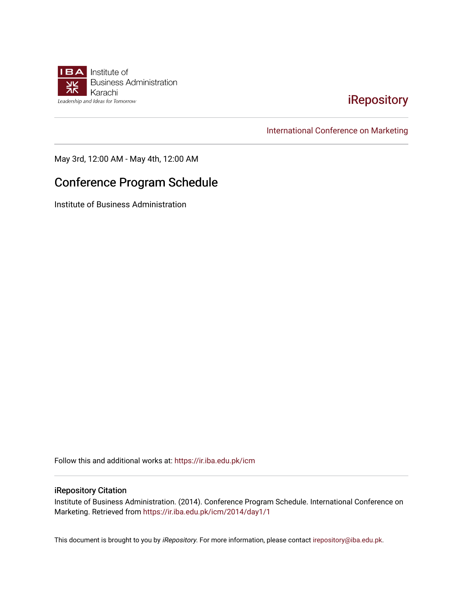

## [iRepository](https://ir.iba.edu.pk/)

[International Conference on Marketing](https://ir.iba.edu.pk/icm) 

May 3rd, 12:00 AM - May 4th, 12:00 AM

## Conference Program Schedule

Institute of Business Administration

Follow this and additional works at: [https://ir.iba.edu.pk/icm](https://ir.iba.edu.pk/icm?utm_source=ir.iba.edu.pk%2Ficm%2F2014%2Fday1%2F1&utm_medium=PDF&utm_campaign=PDFCoverPages) 

## iRepository Citation

Institute of Business Administration. (2014). Conference Program Schedule. International Conference on Marketing. Retrieved from [https://ir.iba.edu.pk/icm/2014/day1/1](https://ir.iba.edu.pk/icm/2014/day1/1?utm_source=ir.iba.edu.pk%2Ficm%2F2014%2Fday1%2F1&utm_medium=PDF&utm_campaign=PDFCoverPages) 

This document is brought to you by iRepository. For more information, please contact [irepository@iba.edu.pk](mailto:irepository@iba.edu.pk).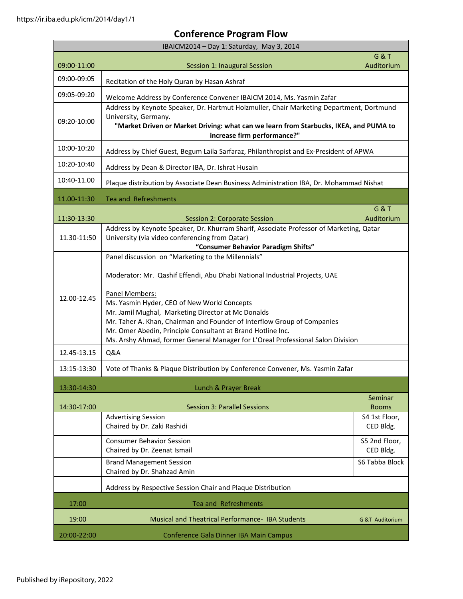## **Conference Program Flow**

| IBAICM2014 - Day 1: Saturday, May 3, 2014 |                                                                                                                                                                                                                                                                                                                                                                                                                                                                                      |                              |  |
|-------------------------------------------|--------------------------------------------------------------------------------------------------------------------------------------------------------------------------------------------------------------------------------------------------------------------------------------------------------------------------------------------------------------------------------------------------------------------------------------------------------------------------------------|------------------------------|--|
| 09:00-11:00                               | Session 1: Inaugural Session                                                                                                                                                                                                                                                                                                                                                                                                                                                         | <b>G&amp;T</b><br>Auditorium |  |
| 09:00-09:05                               | Recitation of the Holy Quran by Hasan Ashraf                                                                                                                                                                                                                                                                                                                                                                                                                                         |                              |  |
| 09:05-09:20                               | Welcome Address by Conference Convener IBAICM 2014, Ms. Yasmin Zafar                                                                                                                                                                                                                                                                                                                                                                                                                 |                              |  |
| 09:20-10:00                               | Address by Keynote Speaker, Dr. Hartmut Holzmuller, Chair Marketing Department, Dortmund<br>University, Germany.<br>"Market Driven or Market Driving: what can we learn from Starbucks, IKEA, and PUMA to<br>increase firm performance?"                                                                                                                                                                                                                                             |                              |  |
| 10:00-10:20                               | Address by Chief Guest, Begum Laila Sarfaraz, Philanthropist and Ex-President of APWA                                                                                                                                                                                                                                                                                                                                                                                                |                              |  |
| 10:20-10:40                               | Address by Dean & Director IBA, Dr. Ishrat Husain                                                                                                                                                                                                                                                                                                                                                                                                                                    |                              |  |
| 10:40-11.00                               | Plaque distribution by Associate Dean Business Administration IBA, Dr. Mohammad Nishat                                                                                                                                                                                                                                                                                                                                                                                               |                              |  |
| 11.00-11:30                               | <b>Tea and Refreshments</b>                                                                                                                                                                                                                                                                                                                                                                                                                                                          |                              |  |
| 11:30-13:30                               | Session 2: Corporate Session                                                                                                                                                                                                                                                                                                                                                                                                                                                         | <b>G&amp;T</b><br>Auditorium |  |
| 11.30-11:50                               | Address by Keynote Speaker, Dr. Khurram Sharif, Associate Professor of Marketing, Qatar<br>University (via video conferencing from Qatar)<br>"Consumer Behavior Paradigm Shifts"                                                                                                                                                                                                                                                                                                     |                              |  |
| 12.00-12.45                               | Panel discussion on "Marketing to the Millennials"<br>Moderator: Mr. Qashif Effendi, Abu Dhabi National Industrial Projects, UAE<br>Panel Members:<br>Ms. Yasmin Hyder, CEO of New World Concepts<br>Mr. Jamil Mughal, Marketing Director at Mc Donalds<br>Mr. Taher A. Khan, Chairman and Founder of Interflow Group of Companies<br>Mr. Omer Abedin, Principle Consultant at Brand Hotline Inc.<br>Ms. Arshy Ahmad, former General Manager for L'Oreal Professional Salon Division |                              |  |
| 12.45-13.15                               | <b>Q&amp;A</b>                                                                                                                                                                                                                                                                                                                                                                                                                                                                       |                              |  |
| 13:15-13:30                               | Vote of Thanks & Plaque Distribution by Conference Convener, Ms. Yasmin Zafar                                                                                                                                                                                                                                                                                                                                                                                                        |                              |  |
| 13:30-14:30                               | Lunch & Prayer Break                                                                                                                                                                                                                                                                                                                                                                                                                                                                 |                              |  |
| 14:30-17:00                               | <b>Session 3: Parallel Sessions</b>                                                                                                                                                                                                                                                                                                                                                                                                                                                  | Seminar<br><b>Rooms</b>      |  |
|                                           | <b>Advertising Session</b><br>Chaired by Dr. Zaki Rashidi                                                                                                                                                                                                                                                                                                                                                                                                                            | S4 1st Floor,<br>CED Bldg.   |  |
|                                           | <b>Consumer Behavior Session</b><br>Chaired by Dr. Zeenat Ismail                                                                                                                                                                                                                                                                                                                                                                                                                     | S5 2nd Floor,<br>CED Bldg.   |  |
|                                           | <b>Brand Management Session</b><br>Chaired by Dr. Shahzad Amin                                                                                                                                                                                                                                                                                                                                                                                                                       | S6 Tabba Block               |  |
|                                           | Address by Respective Session Chair and Plaque Distribution                                                                                                                                                                                                                                                                                                                                                                                                                          |                              |  |
| 17:00                                     | <b>Tea and Refreshments</b>                                                                                                                                                                                                                                                                                                                                                                                                                                                          |                              |  |
| 19:00                                     | <b>Musical and Theatrical Performance- IBA Students</b>                                                                                                                                                                                                                                                                                                                                                                                                                              | <b>G &amp;T Auditorium</b>   |  |
| 20:00-22:00                               | Conference Gala Dinner IBA Main Campus                                                                                                                                                                                                                                                                                                                                                                                                                                               |                              |  |